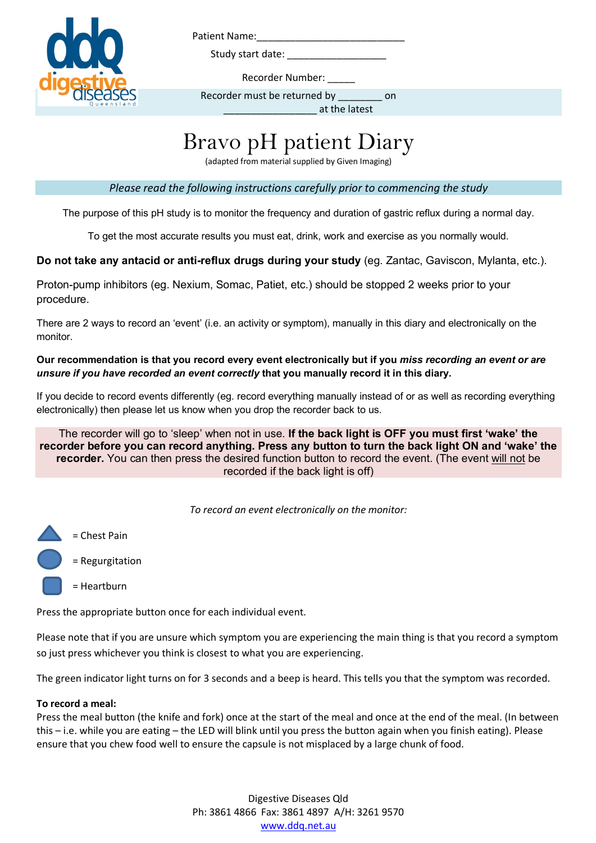

Patient Name:\_\_\_\_\_\_\_\_\_\_\_\_\_\_\_\_\_\_\_\_\_\_\_\_\_\_\_

Study start date:

Recorder Number:

Recorder must be returned by \_\_\_\_\_\_\_\_\_ on

\_\_\_\_\_\_\_\_\_\_\_\_\_\_\_\_\_ at the latest

## Bravo pH patient Diary

(adapted from material supplied by Given Imaging)

*Please read the following instructions carefully prior to commencing the study*

The purpose of this pH study is to monitor the frequency and duration of gastric reflux during a normal day.

To get the most accurate results you must eat, drink, work and exercise as you normally would.

**Do not take any antacid or anti-reflux drugs during your study** (eg. Zantac, Gaviscon, Mylanta, etc.).

Proton-pump inhibitors (eg. Nexium, Somac, Patiet, etc.) should be stopped 2 weeks prior to your procedure.

There are 2 ways to record an 'event' (i.e. an activity or symptom), manually in this diary and electronically on the monitor.

**Our recommendation is that you record every event electronically but if you** *miss recording an event or are unsure if you have recorded an event correctly* **that you manually record it in this diary.** 

If you decide to record events differently (eg. record everything manually instead of or as well as recording everything electronically) then please let us know when you drop the recorder back to us.

The recorder will go to 'sleep' when not in use. **If the back light is OFF you must first 'wake' the recorder before you can record anything. Press any button to turn the back light ON and 'wake' the recorder.** You can then press the desired function button to record the event. (The event will not be recorded if the back light is off)

*To record an event electronically on the monitor:*



Press the appropriate button once for each individual event.

Please note that if you are unsure which symptom you are experiencing the main thing is that you record a symptom so just press whichever you think is closest to what you are experiencing.

The green indicator light turns on for 3 seconds and a beep is heard. This tells you that the symptom was recorded.

## **To record a meal:**

Press the meal button (the knife and fork) once at the start of the meal and once at the end of the meal. (In between this – i.e. while you are eating – the LED will blink until you press the button again when you finish eating). Please ensure that you chew food well to ensure the capsule is not misplaced by a large chunk of food.

> Digestive Diseases Qld Ph: 3861 4866 Fax: 3861 4897 A/H: 3261 9570 www.ddq.net.au